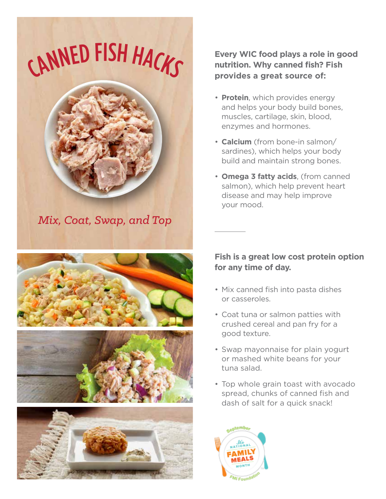CANNED FISH HACKS



*Mix, Coat, Swap, and Top*







#### **Every WIC food plays a role in good nutrition. Why canned fish? Fish provides a great source of:**

- **Protein**, which provides energy and helps your body build bones, muscles, cartilage, skin, blood, enzymes and hormones.
- • **Calcium** (from bone-in salmon/ sardines), which helps your body build and maintain strong bones.
- • **Omega 3 fatty acids**, (from canned salmon), which help prevent heart disease and may help improve your mood.

### **Fish is a great low cost protein option for any time of day.**

- Mix canned fish into pasta dishes or casseroles.
- Coat tuna or salmon patties with crushed cereal and pan fry for a good texture.
- Swap mayonnaise for plain yogurt or mashed white beans for your tuna salad.
- Top whole grain toast with avocado spread, chunks of canned fish and dash of salt for a quick snack!

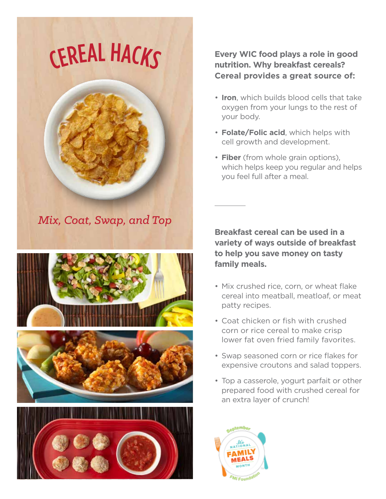# CEREA<sup>L</sup> <sup>H</sup>ACKS



*Mix, Coat, Swap, and Top*







### **Every WIC food plays a role in good nutrition. Why breakfast cereals? Cereal provides a great source of:**

- • **Iron**, which builds blood cells that take oxygen from your lungs to the rest of your body.
- • **Folate/Folic acid**, which helps with cell growth and development.
- **Fiber** (from whole grain options), which helps keep you regular and helps you feel full after a meal.

**Breakfast cereal can be used in a variety of ways outside of breakfast to help you save money on tasty family meals.**

- Mix crushed rice, corn, or wheat flake cereal into meatball, meatloaf, or meat patty recipes.
- Coat chicken or fish with crushed corn or rice cereal to make crisp lower fat oven fried family favorites.
- Swap seasoned corn or rice flakes for expensive croutons and salad toppers.
- Top a casserole, yogurt parfait or other prepared food with crushed cereal for an extra layer of crunch!

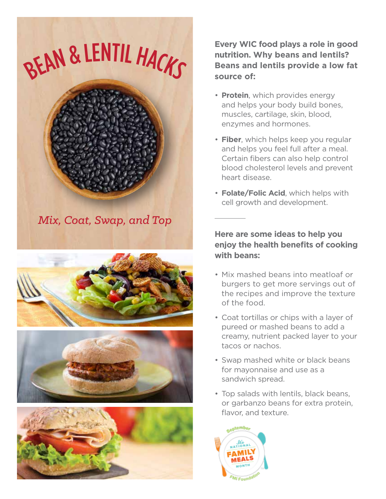









**Every WIC food plays a role in good nutrition. Why beans and lentils? Beans and lentils provide a low fat source of:**

- **Protein**, which provides energy and helps your body build bones, muscles, cartilage, skin, blood, enzymes and hormones.
- • **Fiber**, which helps keep you regular and helps you feel full after a meal. Certain fibers can also help control blood cholesterol levels and prevent heart disease.
- • **Folate/Folic Acid**, which helps with cell growth and development.

**Here are some ideas to help you enjoy the health benefits of cooking with beans:**

- Mix mashed beans into meatloaf or burgers to get more servings out of the recipes and improve the texture of the food.
- Coat tortillas or chips with a layer of pureed or mashed beans to add a creamy, nutrient packed layer to your tacos or nachos.
- Swap mashed white or black beans for mayonnaise and use as a sandwich spread.
- Top salads with lentils, black beans, or garbanzo beans for extra protein, flavor, and texture.